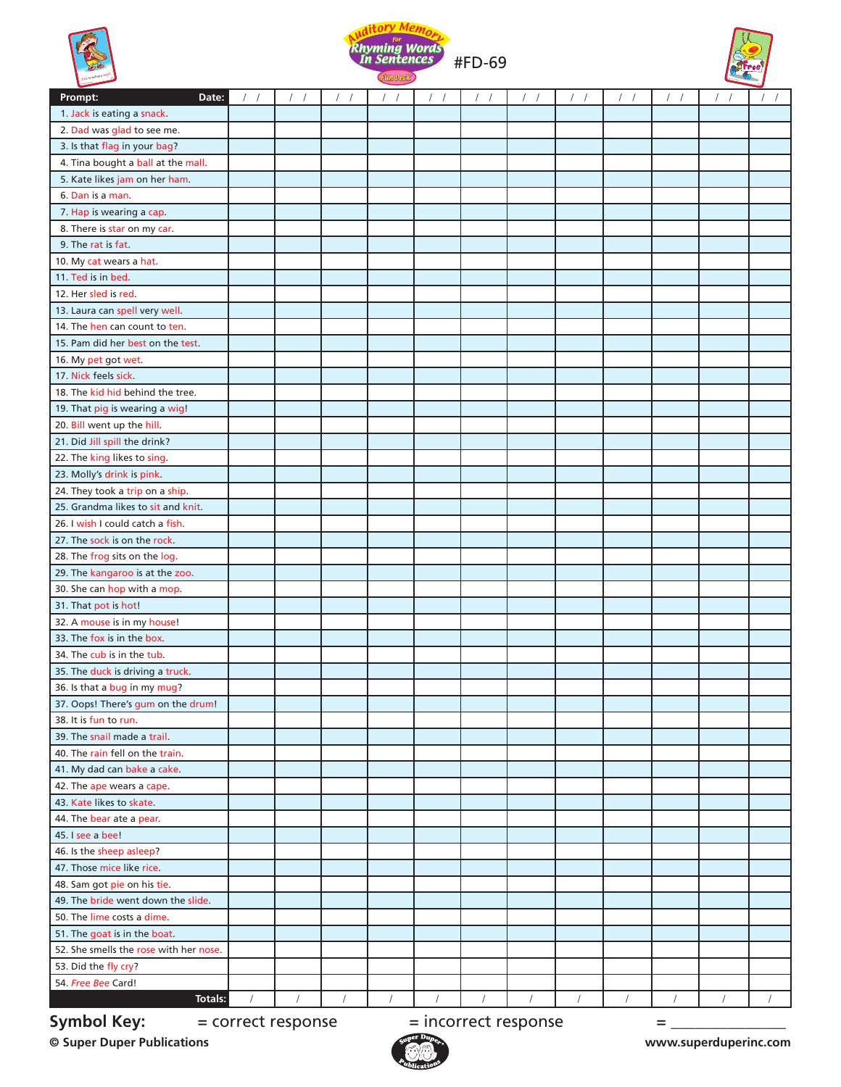





| Prompt:<br>Date:                       | $\prime$           | $\sqrt{2}$ |            |            | $\prime$   |                      | $\left  \quad \right $ |            |            |          |            |
|----------------------------------------|--------------------|------------|------------|------------|------------|----------------------|------------------------|------------|------------|----------|------------|
| 1. Jack is eating a snack.             |                    |            |            |            |            |                      |                        |            |            |          |            |
| 2. Dad was glad to see me.             |                    |            |            |            |            |                      |                        |            |            |          |            |
| 3. Is that flag in your bag?           |                    |            |            |            |            |                      |                        |            |            |          |            |
| 4. Tina bought a ball at the mall.     |                    |            |            |            |            |                      |                        |            |            |          |            |
| 5. Kate likes jam on her ham.          |                    |            |            |            |            |                      |                        |            |            |          |            |
| 6. Dan is a man.                       |                    |            |            |            |            |                      |                        |            |            |          |            |
| 7. Hap is wearing a cap.               |                    |            |            |            |            |                      |                        |            |            |          |            |
| 8. There is star on my car.            |                    |            |            |            |            |                      |                        |            |            |          |            |
| 9. The rat is fat.                     |                    |            |            |            |            |                      |                        |            |            |          |            |
| 10. My cat wears a hat.                |                    |            |            |            |            |                      |                        |            |            |          |            |
| 11. Ted is in bed.                     |                    |            |            |            |            |                      |                        |            |            |          |            |
| 12. Her sled is red.                   |                    |            |            |            |            |                      |                        |            |            |          |            |
| 13. Laura can spell very well.         |                    |            |            |            |            |                      |                        |            |            |          |            |
| 14. The hen can count to ten.          |                    |            |            |            |            |                      |                        |            |            |          |            |
| 15. Pam did her best on the test.      |                    |            |            |            |            |                      |                        |            |            |          |            |
| 16. My pet got wet.                    |                    |            |            |            |            |                      |                        |            |            |          |            |
| 17. Nick feels sick.                   |                    |            |            |            |            |                      |                        |            |            |          |            |
| 18. The kid hid behind the tree.       |                    |            |            |            |            |                      |                        |            |            |          |            |
| 19. That pig is wearing a wig!         |                    |            |            |            |            |                      |                        |            |            |          |            |
| 20. Bill went up the hill.             |                    |            |            |            |            |                      |                        |            |            |          |            |
| 21. Did Jill spill the drink?          |                    |            |            |            |            |                      |                        |            |            |          |            |
| 22. The king likes to sing.            |                    |            |            |            |            |                      |                        |            |            |          |            |
| 23. Molly's drink is pink.             |                    |            |            |            |            |                      |                        |            |            |          |            |
| 24. They took a trip on a ship.        |                    |            |            |            |            |                      |                        |            |            |          |            |
| 25. Grandma likes to sit and knit.     |                    |            |            |            |            |                      |                        |            |            |          |            |
| 26. I wish I could catch a fish.       |                    |            |            |            |            |                      |                        |            |            |          |            |
| 27. The sock is on the rock.           |                    |            |            |            |            |                      |                        |            |            |          |            |
|                                        |                    |            |            |            |            |                      |                        |            |            |          |            |
| 28. The frog sits on the log.          |                    |            |            |            |            |                      |                        |            |            |          |            |
| 29. The kangaroo is at the zoo.        |                    |            |            |            |            |                      |                        |            |            |          |            |
| 30. She can hop with a mop.            |                    |            |            |            |            |                      |                        |            |            |          |            |
| 31. That pot is hot!                   |                    |            |            |            |            |                      |                        |            |            |          |            |
| 32. A mouse is in my house!            |                    |            |            |            |            |                      |                        |            |            |          |            |
| 33. The fox is in the box.             |                    |            |            |            |            |                      |                        |            |            |          |            |
| 34. The cub is in the tub.             |                    |            |            |            |            |                      |                        |            |            |          |            |
| 35. The duck is driving a truck.       |                    |            |            |            |            |                      |                        |            |            |          |            |
| 36. Is that a bug in my mug?           |                    |            |            |            |            |                      |                        |            |            |          |            |
| 37. Oops! There's gum on the drum!     |                    |            |            |            |            |                      |                        |            |            |          |            |
| 38. It is fun to run.                  |                    |            |            |            |            |                      |                        |            |            |          |            |
| 39. The snail made a trail.            |                    |            |            |            |            |                      |                        |            |            |          |            |
| 40. The rain fell on the train.        |                    |            |            |            |            |                      |                        |            |            |          |            |
| 41. My dad can bake a cake.            |                    |            |            |            |            |                      |                        |            |            |          |            |
| 42. The ape wears a cape.              |                    |            |            |            |            |                      |                        |            |            |          |            |
| 43. Kate likes to skate.               |                    |            |            |            |            |                      |                        |            |            |          |            |
| 44. The bear ate a pear.               |                    |            |            |            |            |                      |                        |            |            |          |            |
| 45. I see a bee!                       |                    |            |            |            |            |                      |                        |            |            |          |            |
| 46. Is the sheep asleep?               |                    |            |            |            |            |                      |                        |            |            |          |            |
| 47. Those mice like rice.              |                    |            |            |            |            |                      |                        |            |            |          |            |
| 48. Sam got pie on his tie.            |                    |            |            |            |            |                      |                        |            |            |          |            |
| 49. The bride went down the slide.     |                    |            |            |            |            |                      |                        |            |            |          |            |
| 50. The lime costs a dime.             |                    |            |            |            |            |                      |                        |            |            |          |            |
| 51. The goat is in the boat.           |                    |            |            |            |            |                      |                        |            |            |          |            |
| 52. She smells the rose with her nose. |                    |            |            |            |            |                      |                        |            |            |          |            |
| 53. Did the fly cry?                   |                    |            |            |            |            |                      |                        |            |            |          |            |
| 54. Free Bee Card!                     |                    |            |            |            |            |                      |                        |            |            |          |            |
| Totals:                                |                    | $\sqrt{2}$ | $\sqrt{2}$ | $\sqrt{2}$ | $\sqrt{2}$ |                      | $\sqrt{2}$             | $\sqrt{ }$ | $\sqrt{ }$ | $\prime$ | $\sqrt{2}$ |
| <b>Symbol Key:</b>                     | = correct response |            |            |            |            | = incorrect response |                        |            | =          |          |            |

**© Super Duper Publications www.superduperinc.com**